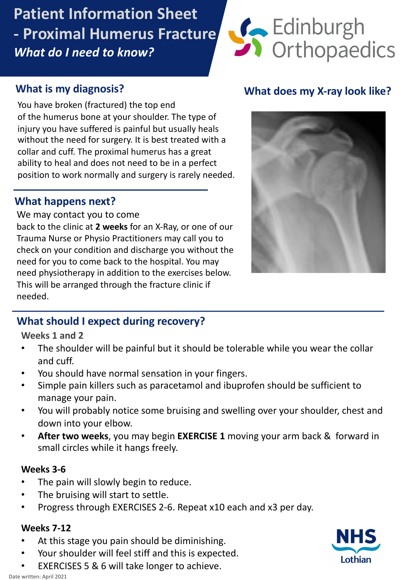# **Patient Information Sheet - Proximal Humerus Fracture** *What do I need to know?*



## **What is my diagnosis?**

You have broken (fractured) the top end of the humerus bone at your shoulder. The type of injury you nave suffered is painful but usually heals<br>without the need for surgery. It is best treated with a whose the need for sargery. It is sest treated with collar and cuff. The proximal humerus has a great ability to heal and does not need to be in a perfect position to work normally and surgery is rarely needed. injury you have suffered is painful but usually heals

## d **What happens next?**

We may contact you to come

back to the clinic at **2 weeks** for an X-Ray, or one of our Trauma Nurse or Physio Practitioners may call you to check on your condition and discharge you without the need for you to come back to the hospital. You may need physiotherapy in addition to the exercises below. This will be arranged through the fracture clinic if needed.

# **What does my X-ray look like?**



# **What should I expect during recovery?**

**Weeks 1 and 2**

- The shoulder will be painful but it should be tolerable while you wear the collar and cuff.
- You should have normal sensation in your fingers.
- Simple pain killers such as paracetamol and ibuprofen should be sufficient to manage your pain.
- You will probably notice some bruising and swelling over your shoulder, chest and down into your elbow.
- **After two weeks**, you may begin **EXERCISE 1** moving your arm back & forward in small circles while it hangs freely.

#### **Weeks 3-6**

- The pain will slowly begin to reduce.
- The bruising will start to settle.
- Progress through EXERCISES 2-6. Repeat x10 each and x3 per day.

#### **Weeks 7-12**

- At this stage you pain should be diminishing.
- Your shoulder will feel stiff and this is expected.
- EXERCISES 5 & 6 will take longer to achieve.